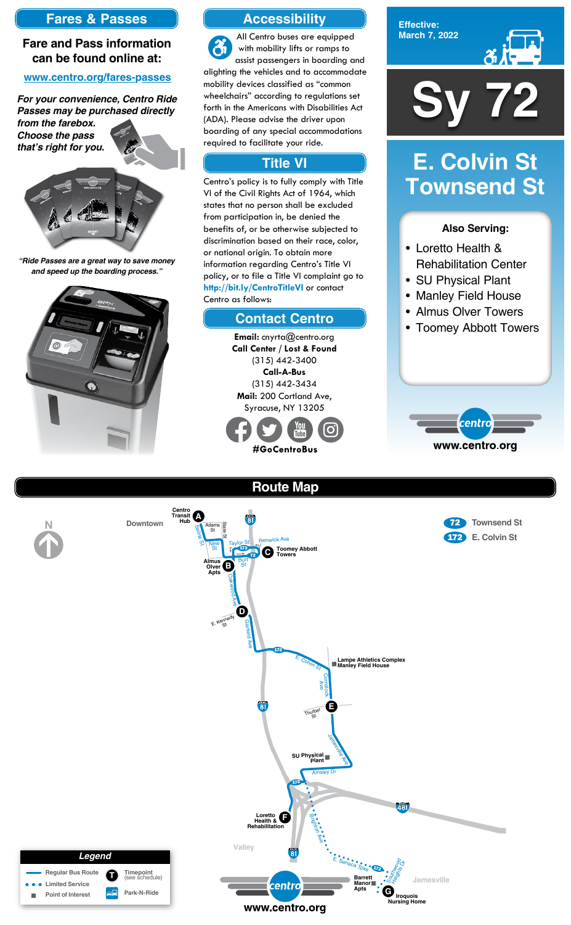**Effective: March 7, 2022**



### **Also Serving:**

- Loretto Health & Rehabilitation Center
- SU Physical Plant
- Manley Field House
- Almus Olver Towers
- Toomey Abbott Towers



# **E. Colvin St Townsend St**





**Route Map**

## **Accessibility**

## **Contact Centro**

## **Title VI**

All Centro buses are equipped  $\mathfrak{F}$ with mobility lifts or ramps to assist passengers in boarding and alighting the vehicles and to accommodate mobility devices classified as "common wheelchairs" according to regulations set forth in the Americans with Disabilities Act (ADA). Please advise the driver upon boarding of any special accommodations required to facilitate your ride.

Centro's policy is to fully comply with Title VI of the Civil Rights Act of 1964, which states that no person shall be excluded from participation in, be denied the benefits of, or be otherwise subjected to discrimination based on their race, color, or national origin. To obtain more information regarding Centro's Title VI policy, or to file a Title VI complaint go to **http://bit.ly/CentroTitleVI** or contact Centro as follows:

> **Email:** cnyrta@centro.org **Call Center / Lost & Found** (315) 442-3400 **Call-A-Bus** (315) 442-3434 **Mail:** 200 Cortland Ave, Syracuse, NY 13205



## **Fares & Passes**

### **Fare and Pass information can be found online at:**

### **www.centro.org/fares-passes**

*"Ride Passes are a great way to save money and speed up the boarding process."*



*For your convenience, Centro Ride Passes may be purchased directly from the farebox.*

*Choose the pass that's right for you.*